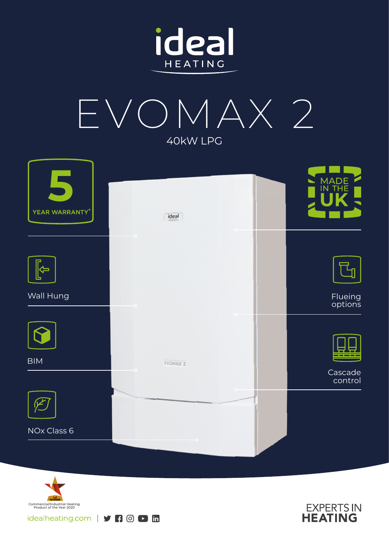



| YEAR WARRANTY* | ideal               | <b>MADE</b><br><b>IN THE</b> |
|----------------|---------------------|------------------------------|
|                | $\circ$             |                              |
|                |                     |                              |
| Wall Hung      |                     | Flueing<br>options           |
|                |                     |                              |
| <b>BIM</b>     | EVOMAX <sub>2</sub> |                              |
|                |                     | Cascade<br>control           |
|                |                     |                              |
| NOx Class 6    |                     |                              |
|                |                     |                              |



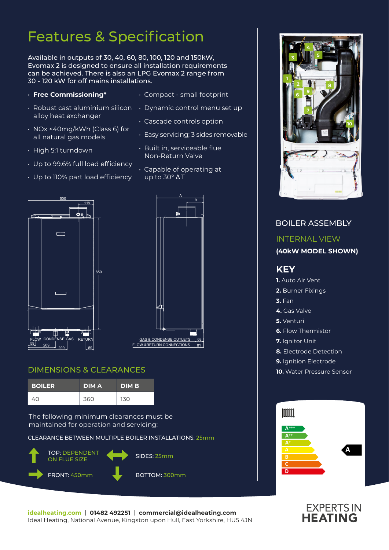## Features & Specification

Available in outputs of 30, 40, 60, 80, 100, 120 and 150kW, Evomax 2 is designed to ensure all installation requirements can be achieved. There is also an LPG Evomax 2 range from 30 - 120 kW for off mains installations.

- **Free Commissioning\***
- alloy heat exchanger
- NOx <40mg/kWh (Class 6) for all natural gas models
- High 5:1 turndown
- Up to 99.6% full load efficiency

• Up to 110% part load efficiency

- Compact small footprint
- $\cdot$  Robust cast aluminium silicon  $\;\;\cdot\;$  Dynamic control menu set up
	- Cascade controls option
	- Easy servicing; 3 sides removable
	- Built in, serviceable flue Non-Return Valve
	- Capable of operating at  $\overline{up}$  to 30 $\degree$   $\Delta T$





#### DIMENSIONS & CLEARANCES

| <b>BOILER</b> | <b>DIMA</b> | <b>DIMB</b> |
|---------------|-------------|-------------|
| 40            | 360         | 130         |

The following minimum clearances must be maintained for operation and servicing:

CLEARANCE BETWEEN MULTIPLE BOILER INSTALLATIONS: 25mm



BOILER ASSEMBLY

**3**

**4 5**

### INTERNAL VIEW **(40kW MODEL SHOWN) KEY 1.** Auto Air Vent **2.** Burner Fixings **3.** Fan **4.** Gas Valve **5.** Venturi **6.** Flow Thermistor **7.** Ianitor Unit **8.** Electrode Detection **9.** Ignition Electrode **10.** Water Pressure Sensor Imm **A+++ A++ A A**



# **EXPERTS IN**<br>**HEATING**

**idealheating.com** | **01482 492251** | **commercial@idealheating.com**  Ideal Heating, National Avenue, Kingston upon Hull, East Yorkshire, HU5 4JN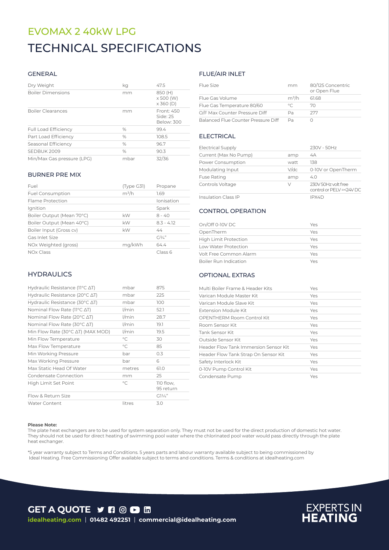## EVOMAX 2 40kW LPG TECHNICAL SPECIFICATIONS

#### GENERAL

| Dry Weight                  | ka            | 47.5                                     |
|-----------------------------|---------------|------------------------------------------|
| <b>Boiler Dimensions</b>    | mm            | 850 (H)<br>x 500 (W)<br>$\times$ 360 (D) |
| <b>Boiler Clearances</b>    | mm            | Front: 450<br>Side: 25<br>Below: 300     |
| <b>Full Load Efficiency</b> | $\%$          | 99.4                                     |
| Part Load Efficiency        | %             | 108.5                                    |
| Seasonal Efficiency         | $\%$          | 96.7                                     |
| SEDBUK 2009                 | $\frac{0}{0}$ | 90.3                                     |
| Min/Max Gas pressure (LPG)  | mbar          | 32/36                                    |

#### BURNER PRE MIX

| Fuel                      | (Type G31) | Propane      |
|---------------------------|------------|--------------|
| <b>Fuel Consumption</b>   | $m^3/h$    | 1.69         |
| Flame Protection          |            | Ionisation   |
| Ignition                  |            | Spark        |
| Boiler Output (Mean 70°C) | kW         | $8 - 40$     |
| Boiler Output (Mean 40°C) | kW         | $8.3 - 4.12$ |
| Boiler Input (Gross cv)   | kW         | 44           |
| Gas Inlet Size            |            | $G^{3/2}$    |
| NOx Weighted (gross)      | mg/kWh     | 64.4         |
| <b>NOx Class</b>          |            | Class 6      |

#### **HYDRAULICS**

| Hydraulic Resistance ( $11^{\circ}$ C $\Delta$ T)   | mbar         | 875                    |
|-----------------------------------------------------|--------------|------------------------|
| Hydraulic Resistance (20°C ∆T)                      | mbar         | 225                    |
| Hydraulic Resistance (30 $\degree$ C $\triangle$ T) | mbar         | 100                    |
| Nominal Flow Rate (11°C ΔT)                         | $1/m$ in     | 52.1                   |
| Nominal Flow Rate (20°C ∆T)                         | $1/m$ in     | 28.7                   |
| Nominal Flow Rate (30°C $\Delta T$ )                | $1/m$ in     | 19.1                   |
| Min Flow Rate (30°C ∆T) (MAX MOD)                   | $1/m$ in     | 19.5                   |
| Min Flow Temperature                                | $^{\circ}C$  | 30                     |
| Max Flow Temperature                                | $^{\circ}$ C | 85                     |
| Min Working Pressure                                | bar          | 0.3                    |
| Max Working Pressure                                | bar          | 6                      |
| Max Static Head Of Water                            | metres       | 61.0                   |
| Condensate Connection                               | mm           | 25                     |
| High Limit Set Point                                | $\circ$ C    | 110 flow,<br>95 return |
| Flow & Return Size                                  |              | $G1\frac{1}{4}$        |
| <b>Water Content</b>                                | litres       | 3.0                    |

#### FLUE/AIR INLET

| Flue Size                           | mm      | 80/125 Concentric<br>or Open Flue |
|-------------------------------------|---------|-----------------------------------|
| Flue Gas Volume                     | $m^3/h$ | 61.68                             |
| Flue Gas Temperature 80/60          | $\circ$ | 70                                |
| O/F Max Counter Pressure Diff       | Рa      | 277                               |
| Balanced Flue Counter Pressure Diff | Da      |                                   |

#### ELECTRICAL

| <b>Electrical Supply</b>   |      | 230V - 50Hz                                      |
|----------------------------|------|--------------------------------------------------|
| Current (Max No Pump)      | amp  | 4A                                               |
| Power Consumption          | watt | 138                                              |
| Modulating Input           | V/dc | 0-10V or OpenTherm                               |
| <b>Fuse Rating</b>         | amp  | 4.0                                              |
| Controls Voltage           | V    | 230V 50Hz volt free<br>control or PELV =< 24V DC |
| <b>Insulation Class IP</b> |      | IPX4D                                            |

#### CONTROL OPERATION

| On/Off 0-10V DC              | Yes |  |
|------------------------------|-----|--|
| OpenTherm                    | Yes |  |
|                              | Yes |  |
| <b>High Limit Protection</b> |     |  |
| Low Water Protection         | Yes |  |
| Volt Free Common Alarm       | Yes |  |
| <b>Boiler Run Indication</b> | Yes |  |

#### OPTIONAL EXTRAS

| Multi Boiler Frame & Header Kits      | Yes |
|---------------------------------------|-----|
| Varican Module Master Kit             | Yes |
| Varican Module Slave Kit              | Yes |
| Extension Module Kit                  | Yes |
| OPENTHERM Room Control Kit            | Yes |
| Room Sensor Kit                       | Yes |
| Tank Sensor Kit                       | Yes |
| Outside Sensor Kit                    | Yes |
| Header Flow Tank Immersion Sensor Kit | Yes |
| Header Flow Tank Strap On Sensor Kit  | Yes |
| Safety Interlock Kit                  | Yes |
| 0-10V Pump Control Kit                | Yes |
| Condensate Pump                       | Yes |

#### **Please Note:**

The plate heat exchangers are to be used for system separation only. They must not be used for the direct production of domestic hot water. They should not be used for direct heating of swimming pool water where the chlorinated pool water would pass directly through the plate heat exchanger.

\*5 year warranty subject to Terms and Conditions. 5 years parts and labour warranty available subject to being commissioned by Ideal Heating. Free Commissioning Offer available subject to terms and conditions. Terms & conditions at idealheating.com